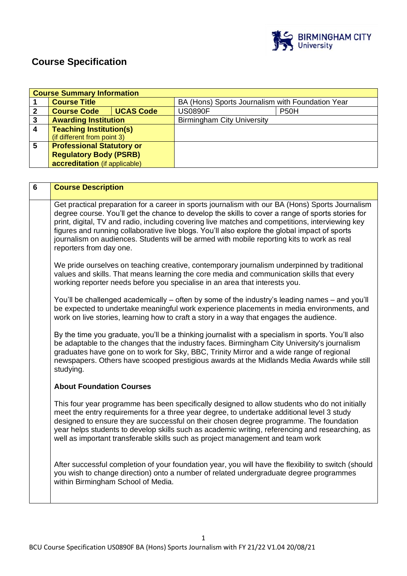

# **Course Specification**

|                         | <b>Course Summary Information</b>                                                                                                                                                                 |                  |                                                                                                                                                                                                       |
|-------------------------|---------------------------------------------------------------------------------------------------------------------------------------------------------------------------------------------------|------------------|-------------------------------------------------------------------------------------------------------------------------------------------------------------------------------------------------------|
| 1                       | <b>Course Title</b>                                                                                                                                                                               |                  | BA (Hons) Sports Journalism with Foundation Year                                                                                                                                                      |
| $\mathbf{2}$            | <b>Course Code</b>                                                                                                                                                                                | <b>UCAS Code</b> | <b>US0890F</b><br><b>P50H</b>                                                                                                                                                                         |
| $\overline{\mathbf{3}}$ | <b>Awarding Institution</b>                                                                                                                                                                       |                  | <b>Birmingham City University</b>                                                                                                                                                                     |
| $\overline{\mathbf{4}}$ | <b>Teaching Institution(s)</b>                                                                                                                                                                    |                  |                                                                                                                                                                                                       |
|                         | (if different from point 3)                                                                                                                                                                       |                  |                                                                                                                                                                                                       |
| 5                       | <b>Professional Statutory or</b>                                                                                                                                                                  |                  |                                                                                                                                                                                                       |
|                         | <b>Regulatory Body (PSRB)</b>                                                                                                                                                                     |                  |                                                                                                                                                                                                       |
|                         | accreditation (if applicable)                                                                                                                                                                     |                  |                                                                                                                                                                                                       |
|                         |                                                                                                                                                                                                   |                  |                                                                                                                                                                                                       |
|                         |                                                                                                                                                                                                   |                  |                                                                                                                                                                                                       |
| $6\phantom{1}$          | <b>Course Description</b>                                                                                                                                                                         |                  |                                                                                                                                                                                                       |
|                         |                                                                                                                                                                                                   |                  |                                                                                                                                                                                                       |
|                         |                                                                                                                                                                                                   |                  | Get practical preparation for a career in sports journalism with our BA (Hons) Sports Journalism<br>degree course. You'll get the chance to develop the skills to cover a range of sports stories for |
|                         |                                                                                                                                                                                                   |                  |                                                                                                                                                                                                       |
|                         | print, digital, TV and radio, including covering live matches and competitions, interviewing key<br>figures and running collaborative live blogs. You'll also explore the global impact of sports |                  |                                                                                                                                                                                                       |
|                         | journalism on audiences. Students will be armed with mobile reporting kits to work as real                                                                                                        |                  |                                                                                                                                                                                                       |
|                         | reporters from day one.                                                                                                                                                                           |                  |                                                                                                                                                                                                       |
|                         |                                                                                                                                                                                                   |                  |                                                                                                                                                                                                       |
|                         |                                                                                                                                                                                                   |                  | We pride ourselves on teaching creative, contemporary journalism underpinned by traditional                                                                                                           |
|                         |                                                                                                                                                                                                   |                  | values and skills. That means learning the core media and communication skills that every                                                                                                             |
|                         |                                                                                                                                                                                                   |                  | working reporter needs before you specialise in an area that interests you.                                                                                                                           |
|                         |                                                                                                                                                                                                   |                  |                                                                                                                                                                                                       |
|                         |                                                                                                                                                                                                   |                  | You'll be challenged academically – often by some of the industry's leading names – and you'll                                                                                                        |
|                         |                                                                                                                                                                                                   |                  | be expected to undertake meaningful work experience placements in media environments, and                                                                                                             |
|                         |                                                                                                                                                                                                   |                  | work on live stories, learning how to craft a story in a way that engages the audience.                                                                                                               |
|                         |                                                                                                                                                                                                   |                  |                                                                                                                                                                                                       |
|                         |                                                                                                                                                                                                   |                  | By the time you graduate, you'll be a thinking journalist with a specialism in sports. You'll also                                                                                                    |
|                         |                                                                                                                                                                                                   |                  | be adaptable to the changes that the industry faces. Birmingham City University's journalism                                                                                                          |
|                         |                                                                                                                                                                                                   |                  | graduates have gone on to work for Sky, BBC, Trinity Mirror and a wide range of regional                                                                                                              |
|                         |                                                                                                                                                                                                   |                  | newspapers. Others have scooped prestigious awards at the Midlands Media Awards while still                                                                                                           |

### **About Foundation Courses**

studying.

This four year programme has been specifically designed to allow students who do not initially meet the entry requirements for a three year degree, to undertake additional level 3 study designed to ensure they are successful on their chosen degree programme. The foundation year helps students to develop skills such as academic writing, referencing and researching, as well as important transferable skills such as project management and team work

After successful completion of your foundation year, you will have the flexibility to switch (should you wish to change direction) onto a number of related undergraduate degree programmes within Birmingham School of Media.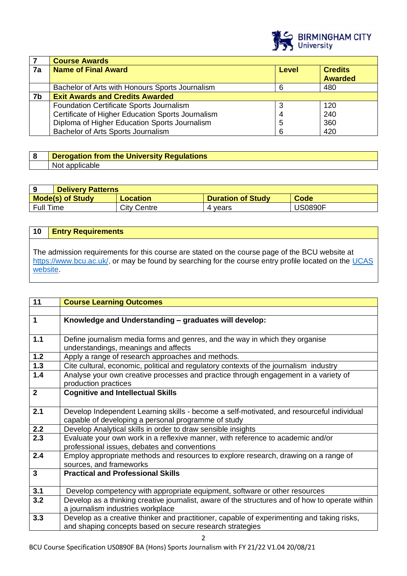

|    | <b>Course Awards</b>                                         |   |                |  |
|----|--------------------------------------------------------------|---|----------------|--|
| 7a | <b>Name of Final Award</b><br><b>Credits</b><br><b>Level</b> |   |                |  |
|    |                                                              |   | <b>Awarded</b> |  |
|    | Bachelor of Arts with Honours Sports Journalism              | 6 | 480            |  |
| 7b | <b>Exit Awards and Credits Awarded</b>                       |   |                |  |
|    | Foundation Certificate Sports Journalism                     | 3 | 120            |  |
|    | Certificate of Higher Education Sports Journalism            |   | 240            |  |
|    | Diploma of Higher Education Sports Journalism                | 5 | 360            |  |
|    | Bachelor of Arts Sports Journalism                           | 6 | 420            |  |

| Derogation from the University Regulations |
|--------------------------------------------|
| Not applicat                               |

|                  | <b>Delivery Patterns</b> |                    |                          |                |
|------------------|--------------------------|--------------------|--------------------------|----------------|
|                  | <b>Mode(s) of Study</b>  | Location           | <b>Duration of Study</b> | <b>Code</b>    |
| <b>Full Time</b> |                          | <b>City Centre</b> | 4 vears                  | <b>JS0890F</b> |

| 10       | <b>Entry Requirements</b>                                                                                                                                                                               |
|----------|---------------------------------------------------------------------------------------------------------------------------------------------------------------------------------------------------------|
| website. | The admission requirements for this course are stated on the course page of the BCU website at<br>https://www.bcu.ac.uk/, or may be found by searching for the course entry profile located on the UCAS |

| 11               | <b>Course Learning Outcomes</b>                                                                 |
|------------------|-------------------------------------------------------------------------------------------------|
|                  |                                                                                                 |
| $\mathbf{1}$     | Knowledge and Understanding - graduates will develop:                                           |
|                  |                                                                                                 |
| 1.1              | Define journalism media forms and genres, and the way in which they organise                    |
|                  | understandings, meanings and affects                                                            |
| $1.2$            | Apply a range of research approaches and methods.                                               |
| $1.3$            | Cite cultural, economic, political and regulatory contexts of the journalism industry           |
| 1.4              | Analyse your own creative processes and practice through engagement in a variety of             |
|                  | production practices                                                                            |
| $\overline{2}$   | <b>Cognitive and Intellectual Skills</b>                                                        |
|                  |                                                                                                 |
| 2.1              | Develop Independent Learning skills - become a self-motivated, and resourceful individual       |
|                  | capable of developing a personal programme of study                                             |
| 2.2              | Develop Analytical skills in order to draw sensible insights                                    |
| $\overline{2.3}$ | Evaluate your own work in a reflexive manner, with reference to academic and/or                 |
|                  | professional issues, debates and conventions                                                    |
| 2.4              | Employ appropriate methods and resources to explore research, drawing on a range of             |
|                  | sources, and frameworks                                                                         |
| 3                | <b>Practical and Professional Skills</b>                                                        |
|                  |                                                                                                 |
| 3.1              | Develop competency with appropriate equipment, software or other resources                      |
| 3.2              | Develop as a thinking creative journalist, aware of the structures and of how to operate within |
|                  | a journalism industries workplace                                                               |
| 3.3              | Develop as a creative thinker and practitioner, capable of experimenting and taking risks,      |
|                  | and shaping concepts based on secure research strategies                                        |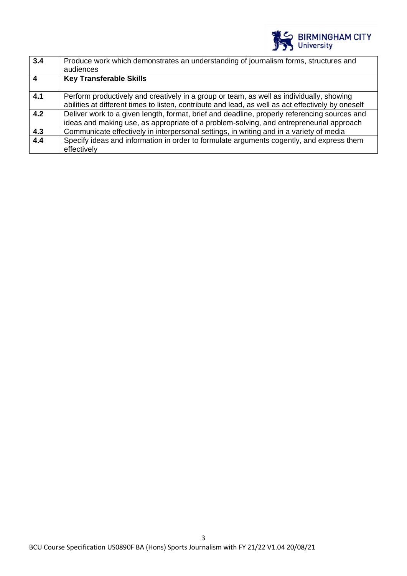

| 3.4                     | Produce work which demonstrates an understanding of journalism forms, structures and               |
|-------------------------|----------------------------------------------------------------------------------------------------|
|                         | audiences                                                                                          |
| $\overline{\mathbf{4}}$ | <b>Key Transferable Skills</b>                                                                     |
|                         |                                                                                                    |
| 4.1                     | Perform productively and creatively in a group or team, as well as individually, showing           |
|                         | abilities at different times to listen, contribute and lead, as well as act effectively by oneself |
| 4.2                     | Deliver work to a given length, format, brief and deadline, properly referencing sources and       |
|                         | ideas and making use, as appropriate of a problem-solving, and entrepreneurial approach            |
| 4.3                     | Communicate effectively in interpersonal settings, in writing and in a variety of media            |
| 4.4                     | Specify ideas and information in order to formulate arguments cogently, and express them           |
|                         | effectively                                                                                        |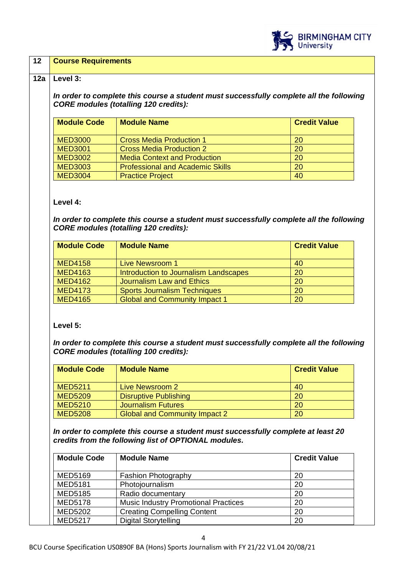

### **12 Course Requirements**

### **12a Level 3:**

*In order to complete this course a student must successfully complete all the following CORE modules (totalling 120 credits):*

| <b>Module Code</b> | <b>Module Name</b>                      | <b>Credit Value</b> |
|--------------------|-----------------------------------------|---------------------|
| <b>MED3000</b>     | <b>Cross Media Production 1</b>         | 20                  |
| <b>MED3001</b>     | <b>Cross Media Production 2</b>         | 20                  |
| <b>MED3002</b>     | <b>Media Context and Production</b>     | 20                  |
| <b>MED3003</b>     | <b>Professional and Academic Skills</b> | 20                  |
| <b>MED3004</b>     | <b>Practice Project</b>                 | 40                  |

### **Level 4:**

*In order to complete this course a student must successfully complete all the following CORE modules (totalling 120 credits):*

| <b>Module Code</b> | <b>Module Name</b>                    | <b>Credit Value</b> |
|--------------------|---------------------------------------|---------------------|
|                    |                                       |                     |
| <b>MED4158</b>     | Live Newsroom 1                       | 40                  |
| <b>MED4163</b>     | Introduction to Journalism Landscapes | 20                  |
| <b>MED4162</b>     | Journalism Law and Ethics             | 20                  |
| <b>MED4173</b>     | <b>Sports Journalism Techniques</b>   | 20                  |
| <b>MED4165</b>     | <b>Global and Community Impact 1</b>  | 20                  |

# **Level 5:**

*In order to complete this course a student must successfully complete all the following CORE modules (totalling 100 credits):*

| <b>Module Code</b> | <b>Module Name</b>                   | <b>Credit Value</b> |
|--------------------|--------------------------------------|---------------------|
|                    |                                      |                     |
| <b>MED5211</b>     | Live Newsroom 2                      | 40                  |
| <b>MED5209</b>     | <b>Disruptive Publishing</b>         | 20                  |
| <b>MED5210</b>     | <b>Journalism Futures</b>            | 20                  |
| <b>MED5208</b>     | <b>Global and Community Impact 2</b> | 20                  |

*In order to complete this course a student must successfully complete at least 20 credits from the following list of OPTIONAL modules.* 

| <b>Module Code</b> | <b>Module Name</b>                          | <b>Credit Value</b> |
|--------------------|---------------------------------------------|---------------------|
| <b>MED5169</b>     | <b>Fashion Photography</b>                  | 20                  |
| <b>MED5181</b>     | Photojournalism                             | 20                  |
| <b>MED5185</b>     | Radio documentary                           | 20                  |
| <b>MED5178</b>     | <b>Music Industry Promotional Practices</b> | 20                  |
| <b>MED5202</b>     | <b>Creating Compelling Content</b>          | 20                  |
| <b>MED5217</b>     | <b>Digital Storytelling</b>                 | 20                  |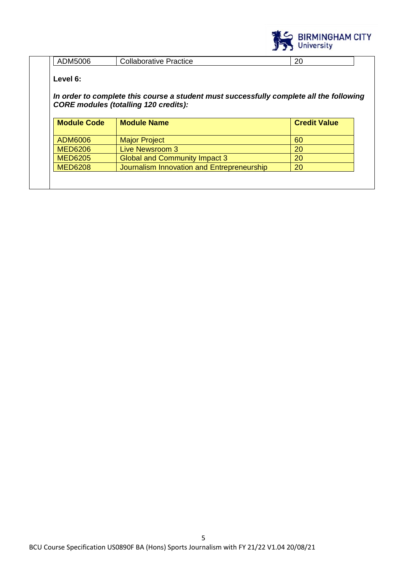

| JM5006   | Practice          | ״  |
|----------|-------------------|----|
| $\cdots$ | ' ollaborative: ' | ືບ |

# **Level 6:**

# *In order to complete this course a student must successfully complete all the following CORE modules (totalling 120 credits):*

| <b>Module Code</b> | <b>Module Name</b>                         | <b>Credit Value</b> |
|--------------------|--------------------------------------------|---------------------|
| ADM6006            | <b>Major Project</b>                       | 60                  |
| <b>MED6206</b>     | Live Newsroom 3                            | 20                  |
| <b>MED6205</b>     | <b>Global and Community Impact 3</b>       | 20                  |
| <b>MED6208</b>     | Journalism Innovation and Entrepreneurship | 20                  |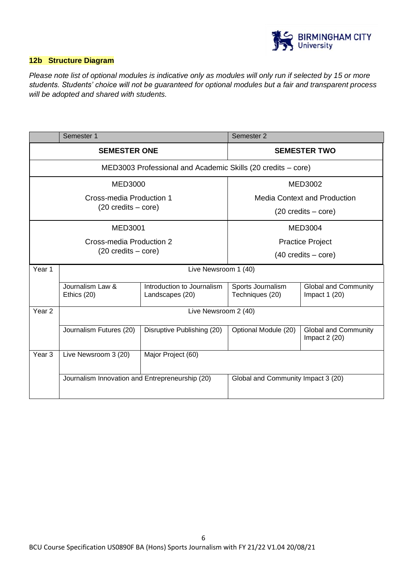

# **12b Structure Diagram**

*Please note list of optional modules is indicative only as modules will only run if selected by 15 or more students. Students' choice will not be guaranteed for optional modules but a fair and transparent process will be adopted and shared with students.*

| Semester 1                           |                                                 |                                                              | Semester 2                           |                                               |
|--------------------------------------|-------------------------------------------------|--------------------------------------------------------------|--------------------------------------|-----------------------------------------------|
| <b>SEMESTER ONE</b>                  |                                                 |                                                              |                                      | <b>SEMESTER TWO</b>                           |
|                                      |                                                 | MED3003 Professional and Academic Skills (20 credits - core) |                                      |                                               |
|                                      | <b>MED3000</b>                                  |                                                              |                                      | MED3002                                       |
| Cross-media Production 1             |                                                 | <b>Media Context and Production</b>                          |                                      |                                               |
| $(20 \text{ credits} - \text{core})$ |                                                 | $(20 \text{ credits} - \text{core})$                         |                                      |                                               |
|                                      | <b>MED3001</b>                                  |                                                              | MED3004                              |                                               |
|                                      | Cross-media Production 2                        |                                                              | <b>Practice Project</b>              |                                               |
| $(20 \text{ credits} - \text{core})$ |                                                 | $(40 \text{ credits} - \text{core})$                         |                                      |                                               |
| Year 1                               | Live Newsroom 1 (40)                            |                                                              |                                      |                                               |
|                                      | Journalism Law &<br>Ethics (20)                 | Introduction to Journalism<br>Landscapes (20)                | Sports Journalism<br>Techniques (20) | <b>Global and Community</b><br>Impact $1(20)$ |
| Year <sub>2</sub>                    | Live Newsroom 2 (40)                            |                                                              |                                      |                                               |
|                                      | Journalism Futures (20)                         | Disruptive Publishing (20)                                   | Optional Module (20)                 | <b>Global and Community</b><br>Impact $2(20)$ |
| Year <sub>3</sub>                    | Live Newsroom 3 (20)                            | Major Project (60)                                           |                                      |                                               |
|                                      | Journalism Innovation and Entrepreneurship (20) |                                                              | Global and Community Impact 3 (20)   |                                               |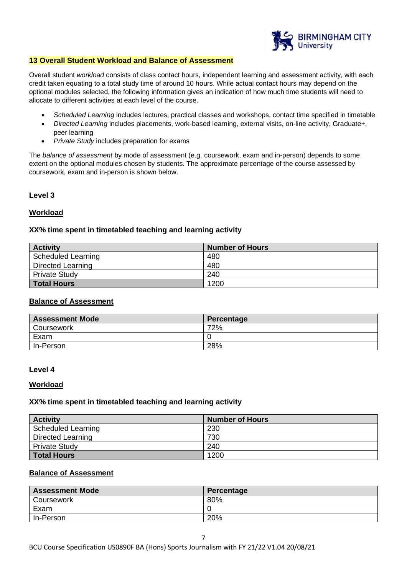

### **13 Overall Student Workload and Balance of Assessment**

Overall student *workload* consists of class contact hours, independent learning and assessment activity, with each credit taken equating to a total study time of around 10 hours. While actual contact hours may depend on the optional modules selected, the following information gives an indication of how much time students will need to allocate to different activities at each level of the course.

- *Scheduled Learning* includes lectures, practical classes and workshops, contact time specified in timetable
- *Directed Learning* includes placements, work-based learning, external visits, on-line activity, Graduate+, peer learning
- *Private Study* includes preparation for exams

The *balance of assessment* by mode of assessment (e.g. coursework, exam and in-person) depends to some extent on the optional modules chosen by students. The approximate percentage of the course assessed by coursework, exam and in-person is shown below.

### **Level 3**

### **Workload**

### **XX% time spent in timetabled teaching and learning activity**

| <b>Activity</b>      | <b>Number of Hours</b> |
|----------------------|------------------------|
| Scheduled Learning   | 480                    |
| Directed Learning    | 480                    |
| <b>Private Study</b> | 240                    |
| <b>Total Hours</b>   | 1200                   |

### **Balance of Assessment**

| <b>Assessment Mode</b> | Percentage |
|------------------------|------------|
| <b>Coursework</b>      | 72%        |
| Exam                   |            |
| In-Person              | 28%        |

#### **Level 4**

#### **Workload**

### **XX% time spent in timetabled teaching and learning activity**

| <b>Activity</b>          | <b>Number of Hours</b> |
|--------------------------|------------------------|
| Scheduled Learning       | 230                    |
| <b>Directed Learning</b> | 730                    |
| <b>Private Study</b>     | 240                    |
| <b>Total Hours</b>       | 1200                   |

# **Balance of Assessment**

| <b>Assessment Mode</b> | Percentage |
|------------------------|------------|
| Coursework             | 80%        |
| Exam                   |            |
| In-Person              | 20%        |